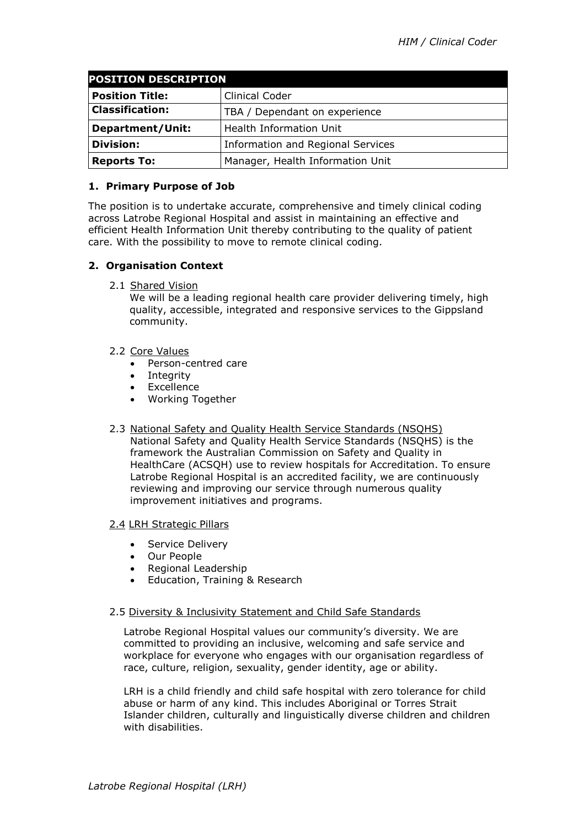| <b>POSITION DESCRIPTION</b> |                                   |
|-----------------------------|-----------------------------------|
| <b>Position Title:</b>      | <b>Clinical Coder</b>             |
| <b>Classification:</b>      | TBA / Dependant on experience     |
| <b>Department/Unit:</b>     | Health Information Unit           |
| <b>Division:</b>            | Information and Regional Services |
| <b>Reports To:</b>          | Manager, Health Information Unit  |

# **1. Primary Purpose of Job**

The position is to undertake accurate, comprehensive and timely clinical coding across Latrobe Regional Hospital and assist in maintaining an effective and efficient Health Information Unit thereby contributing to the quality of patient care. With the possibility to move to remote clinical coding.

# **2. Organisation Context**

2.1 Shared Vision

We will be a leading regional health care provider delivering timely, high quality, accessible, integrated and responsive services to the Gippsland community.

- 2.2 Core Values
	- Person-centred care
	- Integrity
	- Excellence
	- Working Together
- 2.3 National Safety and Quality Health Service Standards (NSQHS) National Safety and Quality Health Service Standards (NSQHS) is the framework the Australian Commission on Safety and Quality in HealthCare (ACSQH) use to review hospitals for Accreditation. To ensure Latrobe Regional Hospital is an accredited facility, we are continuously reviewing and improving our service through numerous quality improvement initiatives and programs.

## 2.4 LRH Strategic Pillars

- Service Delivery
- Our People
- Regional Leadership
- Education, Training & Research

## 2.5 Diversity & Inclusivity Statement and Child Safe Standards

Latrobe Regional Hospital values our community's diversity. We are committed to providing an inclusive, welcoming and safe service and workplace for everyone who engages with our organisation regardless of race, culture, religion, sexuality, gender identity, age or ability.

LRH is a child friendly and child safe hospital with zero tolerance for child abuse or harm of any kind. This includes Aboriginal or Torres Strait Islander children, culturally and linguistically diverse children and children with disabilities.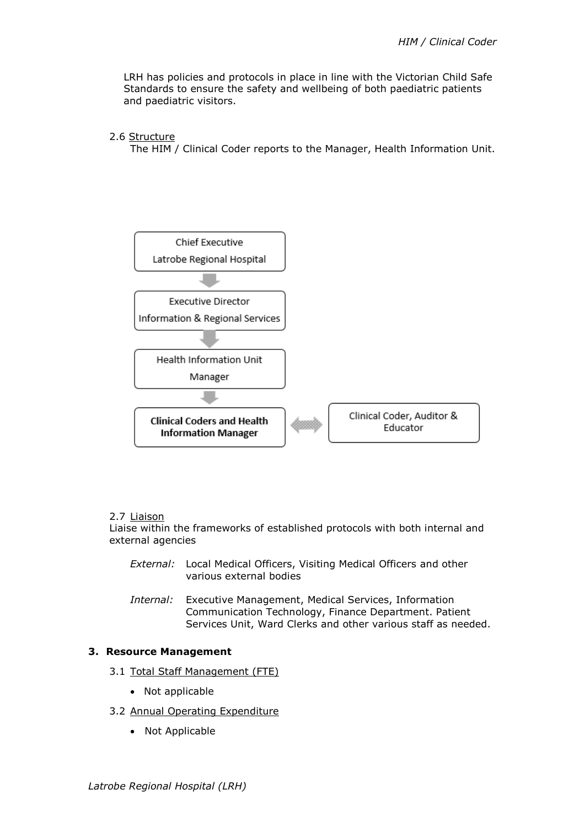LRH has policies and protocols in place in line with the Victorian Child Safe Standards to ensure the safety and wellbeing of both paediatric patients and paediatric visitors.

### 2.6 Structure

The HIM / Clinical Coder reports to the Manager, Health Information Unit.



#### 2.7 Liaison

Liaise within the frameworks of established protocols with both internal and external agencies

- *External:* Local Medical Officers, Visiting Medical Officers and other various external bodies
- *Internal:* Executive Management, Medical Services, Information Communication Technology, Finance Department. Patient Services Unit, Ward Clerks and other various staff as needed.

## **3. Resource Management**

- 3.1 Total Staff Management (FTE)
	- Not applicable
- 3.2 Annual Operating Expenditure
	- Not Applicable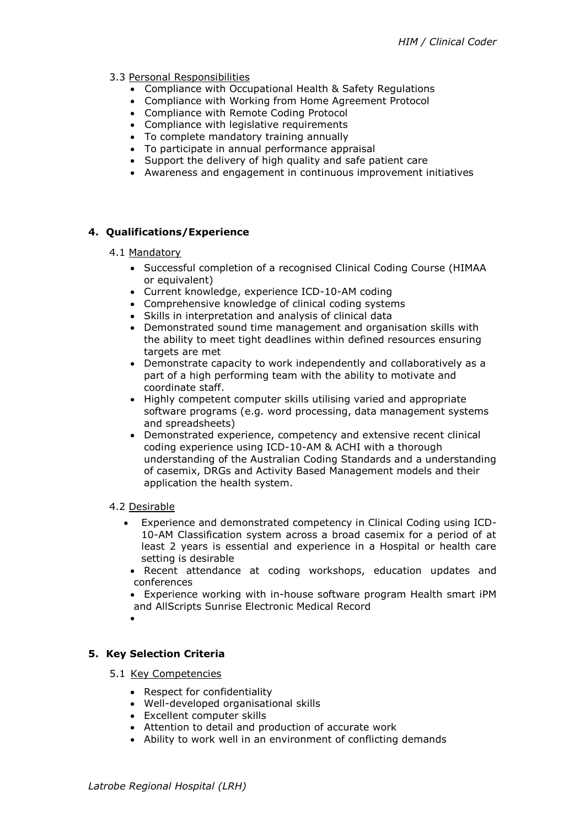- 3.3 Personal Responsibilities
	- Compliance with Occupational Health & Safety Regulations
	- Compliance with Working from Home Agreement Protocol
	- Compliance with Remote Coding Protocol
	- Compliance with legislative requirements
	- To complete mandatory training annually
	- To participate in annual performance appraisal
	- Support the delivery of high quality and safe patient care
	- Awareness and engagement in continuous improvement initiatives

## **4. Qualifications/Experience**

#### 4.1 Mandatory

- Successful completion of a recognised Clinical Coding Course (HIMAA or equivalent)
- Current knowledge, experience ICD-10-AM coding
- Comprehensive knowledge of clinical coding systems
- Skills in interpretation and analysis of clinical data
- Demonstrated sound time management and organisation skills with the ability to meet tight deadlines within defined resources ensuring targets are met
- Demonstrate capacity to work independently and collaboratively as a part of a high performing team with the ability to motivate and coordinate staff.
- Highly competent computer skills utilising varied and appropriate software programs (e.g. word processing, data management systems and spreadsheets)
- Demonstrated experience, competency and extensive recent clinical coding experience using ICD-10-AM & ACHI with a thorough understanding of the Australian Coding Standards and a understanding of casemix, DRGs and Activity Based Management models and their application the health system.

#### 4.2 Desirable

- Experience and demonstrated competency in Clinical Coding using ICD-10-AM Classification system across a broad casemix for a period of at least 2 years is essential and experience in a Hospital or health care setting is desirable
	- Recent attendance at coding workshops, education updates and conferences
	- Experience working with in-house software program Health smart iPM and AllScripts Sunrise Electronic Medical Record
	- $\bullet$

## **5. Key Selection Criteria**

- 5.1 Key Competencies
	- Respect for confidentiality
	- Well-developed organisational skills
	- Excellent computer skills
	- Attention to detail and production of accurate work
	- Ability to work well in an environment of conflicting demands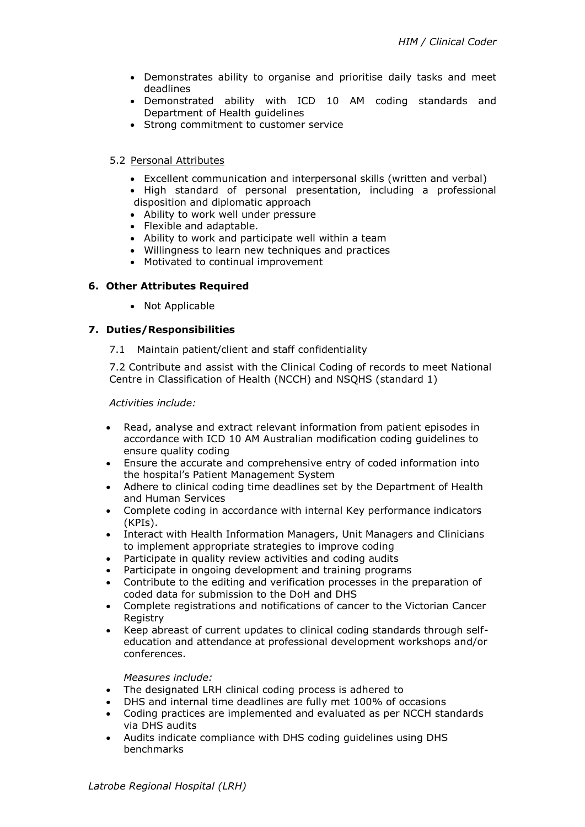- Demonstrates ability to organise and prioritise daily tasks and meet deadlines
- Demonstrated ability with ICD 10 AM coding standards and Department of Health guidelines
- Strong commitment to customer service

### 5.2 Personal Attributes

- Excellent communication and interpersonal skills (written and verbal)
- High standard of personal presentation, including a professional disposition and diplomatic approach
- Ability to work well under pressure
- Flexible and adaptable.
- Ability to work and participate well within a team
- Willingness to learn new techniques and practices
- Motivated to continual improvement

### **6. Other Attributes Required**

• Not Applicable

### **7. Duties/Responsibilities**

7.1 Maintain patient/client and staff confidentiality

7.2 Contribute and assist with the Clinical Coding of records to meet National Centre in Classification of Health (NCCH) and NSQHS (standard 1)

*Activities include:*

- Read, analyse and extract relevant information from patient episodes in accordance with ICD 10 AM Australian modification coding guidelines to ensure quality coding
- Ensure the accurate and comprehensive entry of coded information into the hospital's Patient Management System
- Adhere to clinical coding time deadlines set by the Department of Health and Human Services
- Complete coding in accordance with internal Key performance indicators (KPIs).
- Interact with Health Information Managers, Unit Managers and Clinicians to implement appropriate strategies to improve coding
- Participate in quality review activities and coding audits
- Participate in ongoing development and training programs
- Contribute to the editing and verification processes in the preparation of coded data for submission to the DoH and DHS
- Complete registrations and notifications of cancer to the Victorian Cancer Registry
- Keep abreast of current updates to clinical coding standards through selfeducation and attendance at professional development workshops and/or conferences.

#### *Measures include:*

- The designated LRH clinical coding process is adhered to
- DHS and internal time deadlines are fully met 100% of occasions
- Coding practices are implemented and evaluated as per NCCH standards via DHS audits
- Audits indicate compliance with DHS coding guidelines using DHS benchmarks